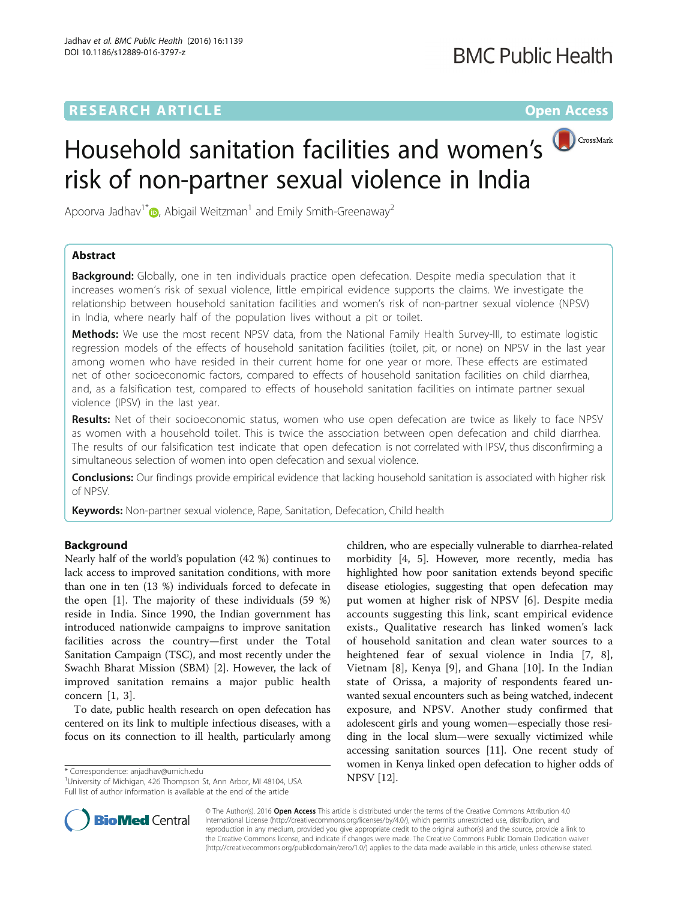# **RESEARCH ARTICLE Example 2014 12:30 The Contract of Contract ACCESS**



# Household sanitation facilities and women's risk of non-partner sexual violence in India

Apoorva Jadhav<sup>1\*</sup> $\odot$ [,](http://orcid.org/0000-0002-3627-3268) Abigail Weitzman<sup>1</sup> and Emily Smith-Greenaway<sup>2</sup>

# Abstract

**Background:** Globally, one in ten individuals practice open defecation. Despite media speculation that it increases women's risk of sexual violence, little empirical evidence supports the claims. We investigate the relationship between household sanitation facilities and women's risk of non-partner sexual violence (NPSV) in India, where nearly half of the population lives without a pit or toilet.

Methods: We use the most recent NPSV data, from the National Family Health Survey-III, to estimate logistic regression models of the effects of household sanitation facilities (toilet, pit, or none) on NPSV in the last year among women who have resided in their current home for one year or more. These effects are estimated net of other socioeconomic factors, compared to effects of household sanitation facilities on child diarrhea, and, as a falsification test, compared to effects of household sanitation facilities on intimate partner sexual violence (IPSV) in the last year.

**Results:** Net of their socioeconomic status, women who use open defecation are twice as likely to face NPSV as women with a household toilet. This is twice the association between open defecation and child diarrhea. The results of our falsification test indicate that open defecation is not correlated with IPSV, thus disconfirming a simultaneous selection of women into open defecation and sexual violence.

Conclusions: Our findings provide empirical evidence that lacking household sanitation is associated with higher risk of NPSV.

Keywords: Non-partner sexual violence, Rape, Sanitation, Defecation, Child health

# Background

Nearly half of the world's population (42 %) continues to lack access to improved sanitation conditions, with more than one in ten (13 %) individuals forced to defecate in the open [\[1\]](#page-8-0). The majority of these individuals (59 %) reside in India. Since 1990, the Indian government has introduced nationwide campaigns to improve sanitation facilities across the country—first under the Total Sanitation Campaign (TSC), and most recently under the Swachh Bharat Mission (SBM) [[2\]](#page-8-0). However, the lack of improved sanitation remains a major public health concern [\[1](#page-8-0), [3](#page-8-0)].

To date, public health research on open defecation has centered on its link to multiple infectious diseases, with a focus on its connection to ill health, particularly among

NPSV [[12](#page-8-0)]. \* Correspondence: [anjadhav@umich.edu](mailto:anjadhav@umich.edu) <sup>1</sup> University of Michigan, 426 Thompson St, Ann Arbor, MI 48104, USA Full list of author information is available at the end of the article





© The Author(s). 2016 Open Access This article is distributed under the terms of the Creative Commons Attribution 4.0 International License [\(http://creativecommons.org/licenses/by/4.0/](http://creativecommons.org/licenses/by/4.0/)), which permits unrestricted use, distribution, and reproduction in any medium, provided you give appropriate credit to the original author(s) and the source, provide a link to the Creative Commons license, and indicate if changes were made. The Creative Commons Public Domain Dedication waiver [\(http://creativecommons.org/publicdomain/zero/1.0/](http://creativecommons.org/publicdomain/zero/1.0/)) applies to the data made available in this article, unless otherwise stated.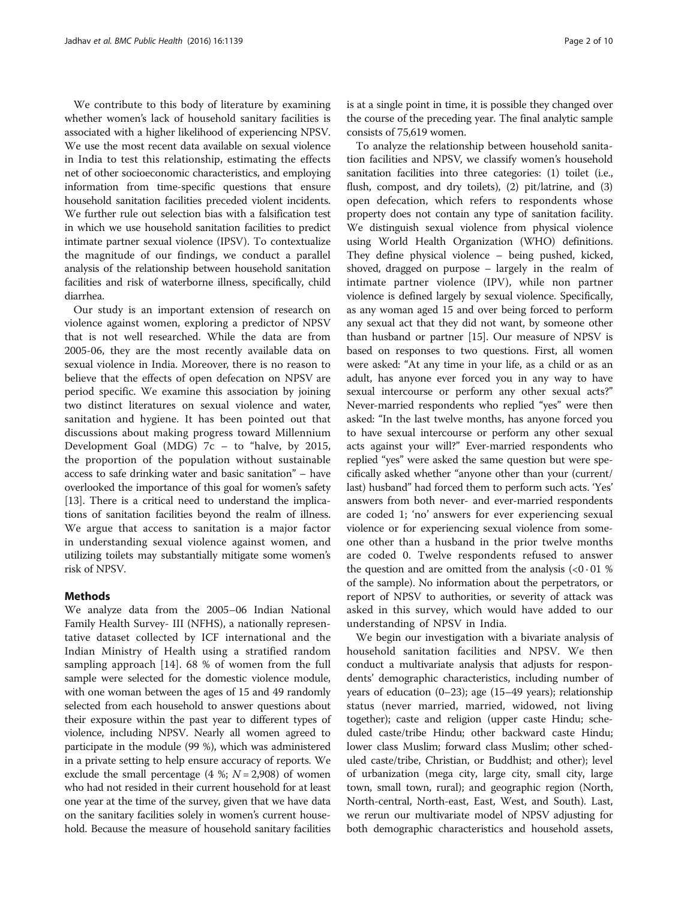We contribute to this body of literature by examining whether women's lack of household sanitary facilities is associated with a higher likelihood of experiencing NPSV. We use the most recent data available on sexual violence in India to test this relationship, estimating the effects net of other socioeconomic characteristics, and employing information from time-specific questions that ensure household sanitation facilities preceded violent incidents. We further rule out selection bias with a falsification test in which we use household sanitation facilities to predict intimate partner sexual violence (IPSV). To contextualize the magnitude of our findings, we conduct a parallel analysis of the relationship between household sanitation facilities and risk of waterborne illness, specifically, child diarrhea.

Our study is an important extension of research on violence against women, exploring a predictor of NPSV that is not well researched. While the data are from 2005-06, they are the most recently available data on sexual violence in India. Moreover, there is no reason to believe that the effects of open defecation on NPSV are period specific. We examine this association by joining two distinct literatures on sexual violence and water, sanitation and hygiene. It has been pointed out that discussions about making progress toward Millennium Development Goal (MDG) 7c – to "halve, by 2015, the proportion of the population without sustainable access to safe drinking water and basic sanitation" – have overlooked the importance of this goal for women's safety [[13](#page-9-0)]. There is a critical need to understand the implications of sanitation facilities beyond the realm of illness. We argue that access to sanitation is a major factor in understanding sexual violence against women, and utilizing toilets may substantially mitigate some women's risk of NPSV.

# Methods

We analyze data from the 2005–06 Indian National Family Health Survey- III (NFHS), a nationally representative dataset collected by ICF international and the Indian Ministry of Health using a stratified random sampling approach [\[14](#page-9-0)]. 68 % of women from the full sample were selected for the domestic violence module, with one woman between the ages of 15 and 49 randomly selected from each household to answer questions about their exposure within the past year to different types of violence, including NPSV. Nearly all women agreed to participate in the module (99 %), which was administered in a private setting to help ensure accuracy of reports. We exclude the small percentage  $(4 \frac{1}{2}, N = 2,908)$  of women who had not resided in their current household for at least one year at the time of the survey, given that we have data on the sanitary facilities solely in women's current household. Because the measure of household sanitary facilities

is at a single point in time, it is possible they changed over the course of the preceding year. The final analytic sample consists of 75,619 women.

To analyze the relationship between household sanitation facilities and NPSV, we classify women's household sanitation facilities into three categories: (1) toilet (i.e., flush, compost, and dry toilets), (2) pit/latrine, and (3) open defecation, which refers to respondents whose property does not contain any type of sanitation facility. We distinguish sexual violence from physical violence using World Health Organization (WHO) definitions. They define physical violence – being pushed, kicked, shoved, dragged on purpose – largely in the realm of intimate partner violence (IPV), while non partner violence is defined largely by sexual violence. Specifically, as any woman aged 15 and over being forced to perform any sexual act that they did not want, by someone other than husband or partner [\[15](#page-9-0)]. Our measure of NPSV is based on responses to two questions. First, all women were asked: "At any time in your life, as a child or as an adult, has anyone ever forced you in any way to have sexual intercourse or perform any other sexual acts?" Never-married respondents who replied "yes" were then asked: "In the last twelve months, has anyone forced you to have sexual intercourse or perform any other sexual acts against your will?" Ever-married respondents who replied "yes" were asked the same question but were specifically asked whether "anyone other than your (current/ last) husband" had forced them to perform such acts. 'Yes' answers from both never- and ever-married respondents are coded 1; 'no' answers for ever experiencing sexual violence or for experiencing sexual violence from someone other than a husband in the prior twelve months are coded 0. Twelve respondents refused to answer the question and are omitted from the analysis  $(<0.01$  % of the sample). No information about the perpetrators, or report of NPSV to authorities, or severity of attack was asked in this survey, which would have added to our understanding of NPSV in India.

We begin our investigation with a bivariate analysis of household sanitation facilities and NPSV. We then conduct a multivariate analysis that adjusts for respondents' demographic characteristics, including number of years of education (0–23); age (15–49 years); relationship status (never married, married, widowed, not living together); caste and religion (upper caste Hindu; scheduled caste/tribe Hindu; other backward caste Hindu; lower class Muslim; forward class Muslim; other scheduled caste/tribe, Christian, or Buddhist; and other); level of urbanization (mega city, large city, small city, large town, small town, rural); and geographic region (North, North-central, North-east, East, West, and South). Last, we rerun our multivariate model of NPSV adjusting for both demographic characteristics and household assets,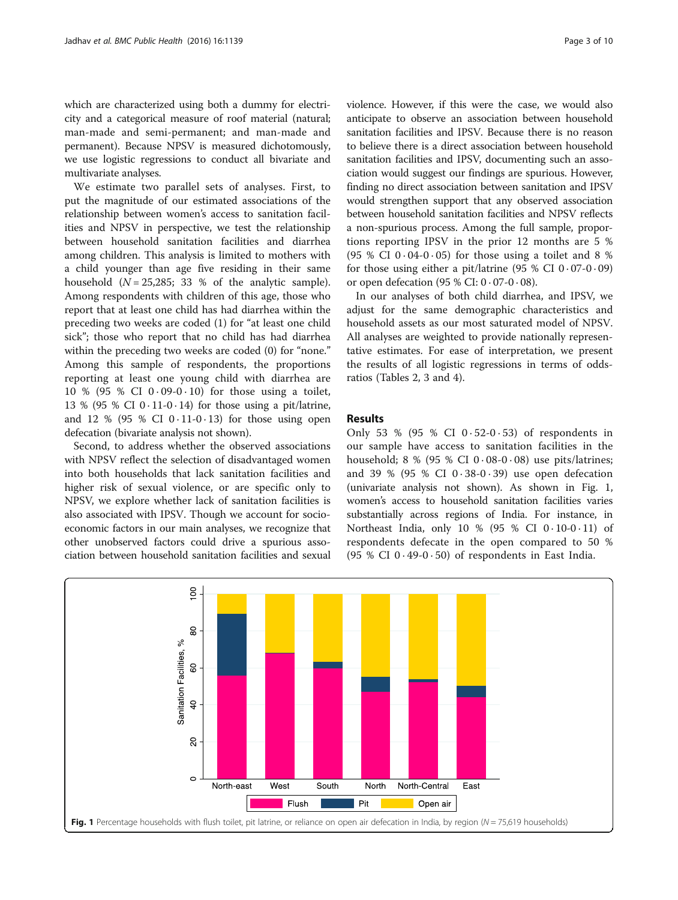which are characterized using both a dummy for electricity and a categorical measure of roof material (natural; man-made and semi-permanent; and man-made and permanent). Because NPSV is measured dichotomously, we use logistic regressions to conduct all bivariate and multivariate analyses.

We estimate two parallel sets of analyses. First, to put the magnitude of our estimated associations of the relationship between women's access to sanitation facilities and NPSV in perspective, we test the relationship between household sanitation facilities and diarrhea among children. This analysis is limited to mothers with a child younger than age five residing in their same household  $(N = 25,285; 33 %$  of the analytic sample). Among respondents with children of this age, those who report that at least one child has had diarrhea within the preceding two weeks are coded (1) for "at least one child sick"; those who report that no child has had diarrhea within the preceding two weeks are coded (0) for "none." Among this sample of respondents, the proportions reporting at least one young child with diarrhea are 10 % (95 % CI  $0.09 - 0.10$ ) for those using a toilet, 13 % (95 % CI  $0 \cdot 11 - 0 \cdot 14$ ) for those using a pit/latrine, and 12 % (95 % CI  $0 \cdot 11 - 0 \cdot 13$ ) for those using open defecation (bivariate analysis not shown).

Second, to address whether the observed associations with NPSV reflect the selection of disadvantaged women into both households that lack sanitation facilities and higher risk of sexual violence, or are specific only to NPSV, we explore whether lack of sanitation facilities is also associated with IPSV. Though we account for socioeconomic factors in our main analyses, we recognize that other unobserved factors could drive a spurious association between household sanitation facilities and sexual violence. However, if this were the case, we would also anticipate to observe an association between household sanitation facilities and IPSV. Because there is no reason to believe there is a direct association between household sanitation facilities and IPSV, documenting such an association would suggest our findings are spurious. However, finding no direct association between sanitation and IPSV would strengthen support that any observed association between household sanitation facilities and NPSV reflects a non-spurious process. Among the full sample, proportions reporting IPSV in the prior 12 months are 5 % (95 % CI  $0.04-0.05$ ) for those using a toilet and 8 % for those using either a pit/latrine  $(95 % CI 0.07-0.09)$ or open defecation (95 % CI:  $0.07 - 0.08$ ).

In our analyses of both child diarrhea, and IPSV, we adjust for the same demographic characteristics and household assets as our most saturated model of NPSV. All analyses are weighted to provide nationally representative estimates. For ease of interpretation, we present the results of all logistic regressions in terms of oddsratios (Tables [2](#page-4-0), [3](#page-6-0) and [4](#page-7-0)).

# Results

Only 53 % (95 % CI  $0.52-0.53$ ) of respondents in our sample have access to sanitation facilities in the household; 8 % (95 % CI  $0.08-0.08$ ) use pits/latrines; and 39 % (95 % CI  $0.38-0.39$ ) use open defecation (univariate analysis not shown). As shown in Fig. 1, women's access to household sanitation facilities varies substantially across regions of India. For instance, in Northeast India, only 10 % (95 % CI  $0.10-0.11$ ) of respondents defecate in the open compared to 50 % (95 % CI  $0.49$ - $0.50$ ) of respondents in East India.

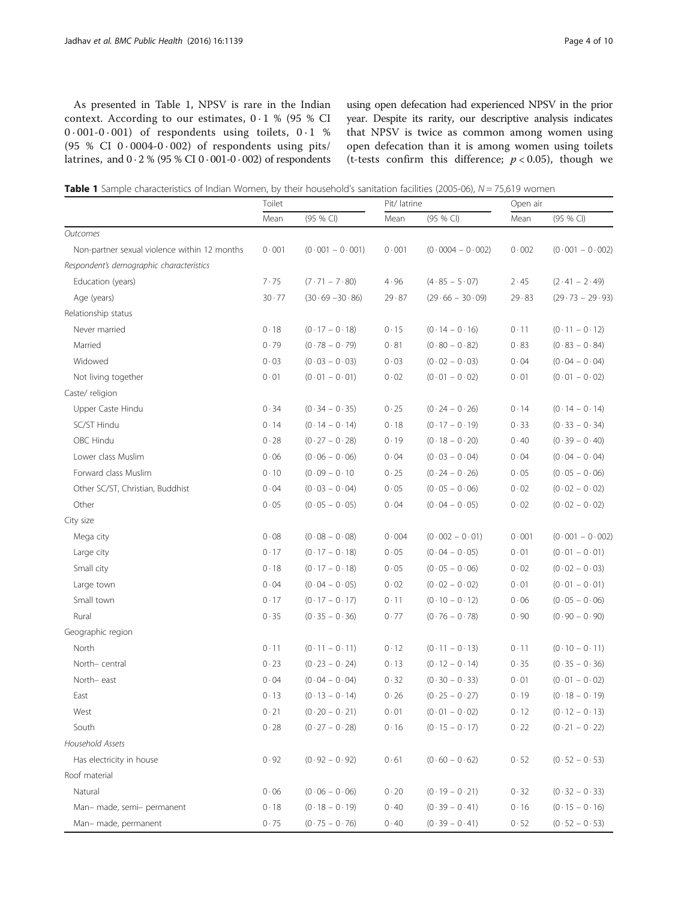As presented in Table 1, NPSV is rare in the Indian context. According to our estimates,  $0.1$  % (95 % CI 0 · 001-0 · 001) of respondents using toilets, 0 · 1 % (95 % CI  $0.0004-0.002$ ) of respondents using pits/ latrines, and  $0.2$  % (95 % CI  $0.001$ - $0.002$ ) of respondents using open defecation had experienced NPSV in the prior year. Despite its rarity, our descriptive analysis indicates that NPSV is twice as common among women using open defecation than it is among women using toilets (t-tests confirm this difference;  $p < 0.05$ ), though we

|  |  | Table 1 Sample characteristics of Indian Women, by their household's sanitation facilities (2005-06), N = 75,619 women |  |  |  |  |  |  |  |  |  |
|--|--|------------------------------------------------------------------------------------------------------------------------|--|--|--|--|--|--|--|--|--|
|--|--|------------------------------------------------------------------------------------------------------------------------|--|--|--|--|--|--|--|--|--|

|                                              | Toilet |                             | Pit/ latrine |                    | Open air |                   |  |
|----------------------------------------------|--------|-----------------------------|--------------|--------------------|----------|-------------------|--|
|                                              | Mean   | (95 % CI)                   | Mean         | (95 % CI)          | Mean     | (95 % CI)         |  |
| Outcomes                                     |        |                             |              |                    |          |                   |  |
| Non-partner sexual violence within 12 months | 0.001  | $(0.001 - 0.001)$           | 0.001        | $(0.0004 - 0.002)$ | 0.002    | $(0.001 - 0.002)$ |  |
| Respondent's demographic characteristics     |        |                             |              |                    |          |                   |  |
| Education (years)                            | 7.75   | $(7 \cdot 71 - 7 \cdot 80)$ | 4.96         | $(4.85 - 5.07)$    | 2.45     | $(2.41 - 2.49)$   |  |
| Age (years)                                  | 30.77  | $(30.69 - 30.86)$           | 29.87        | $(29.66 - 30.09)$  | 29.83    | $(29.73 - 29.93)$ |  |
| Relationship status                          |        |                             |              |                    |          |                   |  |
| Never married                                | 0.18   | $(0.17 - 0.18)$             | 0.15         | $(0.14 - 0.16)$    | 0.11     | $(0.11 - 0.12)$   |  |
| Married                                      | 0.79   | $(0.78 - 0.79)$             | 0.81         | $(0.80 - 0.82)$    | 0.83     | $(0.83 - 0.84)$   |  |
| Widowed                                      | 0.03   | $(0.03 - 0.03)$             | 0.03         | $(0.02 - 0.03)$    | 0.04     | $(0.04 - 0.04)$   |  |
| Not living together                          | 0.01   | $(0.01 - 0.01)$             | 0.02         | $(0.01 - 0.02)$    | 0.01     | $(0.01 - 0.02)$   |  |
| Caste/ religion                              |        |                             |              |                    |          |                   |  |
| Upper Caste Hindu                            | 0.34   | $(0.34 - 0.35)$             | 0.25         | $(0.24 - 0.26)$    | 0.14     | $(0.14 - 0.14)$   |  |
| SC/ST Hindu                                  | 0.14   | $(0.14 - 0.14)$             | 0.18         | $(0.17 - 0.19)$    | 0.33     | $(0.33 - 0.34)$   |  |
| OBC Hindu                                    | 0.28   | $(0.27 - 0.28)$             | 0.19         | $(0.18 - 0.20)$    | 0.40     | $(0.39 - 0.40)$   |  |
| Lower class Muslim                           | 0.06   | $(0.06 - 0.06)$             | 0.04         | $(0.03 - 0.04)$    | 0.04     | $(0.04 - 0.04)$   |  |
| Forward class Muslim                         | 0.10   | $(0.09 - 0.10)$             | 0.25         | $(0.24 - 0.26)$    | 0.05     | $(0.05 - 0.06)$   |  |
| Other SC/ST, Christian, Buddhist             | 0.04   | $(0.03 - 0.04)$             | 0.05         | $(0.05 - 0.06)$    | 0.02     | $(0.02 - 0.02)$   |  |
| Other                                        | 0.05   | $(0.05 - 0.05)$             | 0.04         | $(0.04 - 0.05)$    | 0.02     | $(0.02 - 0.02)$   |  |
| City size                                    |        |                             |              |                    |          |                   |  |
| Mega city                                    | 0.08   | $(0.08 - 0.08)$             | 0.004        | $(0.002 - 0.01)$   | 0.001    | $(0.001 - 0.002)$ |  |
| Large city                                   | 0.17   | $(0.17 - 0.18)$             | 0.05         | $(0.04 - 0.05)$    | 0.01     | $(0.01 - 0.01)$   |  |
| Small city                                   | 0.18   | $(0.17 - 0.18)$             | 0.05         | $(0.05 - 0.06)$    | 0.02     | $(0.02 - 0.03)$   |  |
| Large town                                   | 0.04   | $(0.04 - 0.05)$             | 0.02         | $(0.02 - 0.02)$    | 0.01     | $(0.01 - 0.01)$   |  |
| Small town                                   | 0.17   | $(0.17 - 0.17)$             | 0.11         | $(0.10 - 0.12)$    | 0.06     | $(0.05 - 0.06)$   |  |
| Rural                                        | 0.35   | $(0.35 - 0.36)$             | 0.77         | $(0.76 - 0.78)$    | 0.90     | $(0.90 - 0.90)$   |  |
| Geographic region                            |        |                             |              |                    |          |                   |  |
| North                                        | 0.11   | $(0.11 - 0.11)$             | 0.12         | $(0.11 - 0.13)$    | 0.11     | $(0.10 - 0.11)$   |  |
| North-central                                | 0.23   | $(0.23 - 0.24)$             | 0.13         | $(0.12 - 0.14)$    | 0.35     | $(0.35 - 0.36)$   |  |
| North-east                                   | 0.04   | $(0.04 - 0.04)$             | 0.32         | $(0.30 - 0.33)$    | 0.01     | $(0.01 - 0.02)$   |  |
| East                                         | 0.13   | $(0.13 - 0.14)$             | 0.26         | $(0.25 - 0.27)$    | 0.19     | $(0.18 - 0.19)$   |  |
| West                                         | 0.21   | $(0.20 - 0.21)$             | 0.01         | $(0.01 - 0.02)$    | 0.12     | $(0.12 - 0.13)$   |  |
| South                                        | 0.28   | $(0.27 - 0.28)$             | $0 \cdot 16$ | $(0.15 - 0.17)$    | 0.22     | $(0.21 - 0.22)$   |  |
| Household Assets                             |        |                             |              |                    |          |                   |  |
| Has electricity in house                     | 0.92   | $(0.92 - 0.92)$             | 0.61         | $(0.60 - 0.62)$    | 0.52     | $(0.52 - 0.53)$   |  |
| Roof material                                |        |                             |              |                    |          |                   |  |
| Natural                                      | 0.06   | $(0.06 - 0.06)$             | 0.20         | $(0.19 - 0.21)$    | 0.32     | $(0.32 - 0.33)$   |  |
| Man- made, semi- permanent                   | 0.18   | $(0.18 - 0.19)$             | 0.40         | $(0.39 - 0.41)$    | 0.16     | $(0.15 - 0.16)$   |  |
| Man- made, permanent                         | 0.75   | $(0.75 - 0.76)$             | 0.40         | $(0.39 - 0.41)$    | 0.52     | $(0.52 - 0.53)$   |  |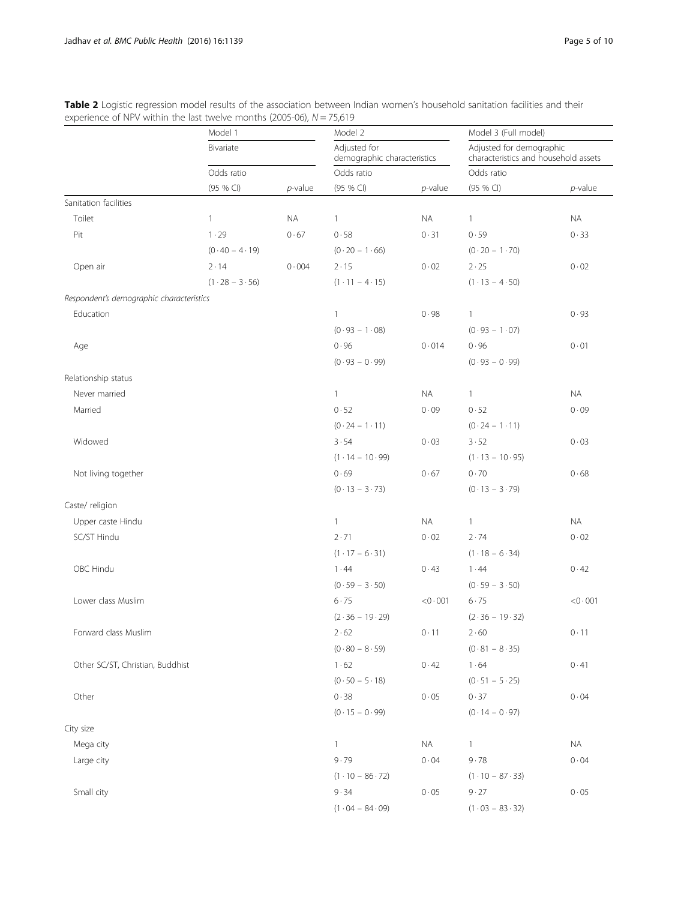|                                          | Model 1         |             | Model 2                      |                             | Model 3 (Full model)         |                                                                  |  |  |
|------------------------------------------|-----------------|-------------|------------------------------|-----------------------------|------------------------------|------------------------------------------------------------------|--|--|
|                                          | Bivariate       |             | Adjusted for                 | demographic characteristics |                              | Adjusted for demographic<br>characteristics and household assets |  |  |
|                                          | Odds ratio      |             |                              | Odds ratio                  |                              | Odds ratio                                                       |  |  |
|                                          | (95 % CI)       | $p$ -value  | (95 % CI)                    | $p$ -value                  | (95 % CI)                    | $p$ -value                                                       |  |  |
| Sanitation facilities                    |                 |             |                              |                             |                              |                                                                  |  |  |
| Toilet                                   | $\mathbf{1}$    | <b>NA</b>   | $\mathbf{1}$                 | <b>NA</b>                   | $\mathbf{1}$                 | <b>NA</b>                                                        |  |  |
| Pit                                      | 1.29            | 0.67        | 0.58                         | 0.31                        | 0.59                         | 0.33                                                             |  |  |
|                                          | $(0.40 - 4.19)$ |             | $(0.20 - 1.66)$              |                             | $(0.20 - 1.70)$              |                                                                  |  |  |
| Open air                                 | $2 \cdot 14$    | $0\cdot004$ | 2.15                         | 0.02                        | $2 \cdot 25$                 | 0.02                                                             |  |  |
|                                          | $(1.28 - 3.56)$ |             | $(1 \cdot 11 - 4 \cdot 15)$  |                             | $(1.13 - 4.50)$              |                                                                  |  |  |
| Respondent's demographic characteristics |                 |             |                              |                             |                              |                                                                  |  |  |
| Education                                |                 |             | $\mathbf{1}$                 | 0.98                        | $\mathbf{1}$                 | 0.93                                                             |  |  |
|                                          |                 |             | $(0.93 - 1.08)$              |                             | $(0.93 - 1.07)$              |                                                                  |  |  |
| Age                                      |                 |             | 0.96                         | 0.014                       | 0.96                         | 0.01                                                             |  |  |
|                                          |                 |             | $(0.93 - 0.99)$              |                             | $(0.93 - 0.99)$              |                                                                  |  |  |
| Relationship status                      |                 |             |                              |                             |                              |                                                                  |  |  |
| Never married                            |                 |             | $\mathbf{1}$                 | <b>NA</b>                   | $\mathbf{1}$                 | <b>NA</b>                                                        |  |  |
| Married                                  |                 |             | 0.52                         | 0.09                        | 0.52                         | 0.09                                                             |  |  |
|                                          |                 |             | $(0.24 - 1.11)$              |                             | $(0.24 - 1.11)$              |                                                                  |  |  |
| Widowed                                  |                 |             | 3.54                         | 0.03                        | 3.52                         | 0.03                                                             |  |  |
|                                          |                 |             | $(1.14 - 10.99)$             |                             | $(1.13 - 10.95)$             |                                                                  |  |  |
| Not living together                      |                 |             | 0.69                         | 0.67                        | 0.70                         | 0.68                                                             |  |  |
|                                          |                 |             | $(0.13 - 3.73)$              |                             | $(0.13 - 3.79)$              |                                                                  |  |  |
| Caste/ religion                          |                 |             |                              |                             |                              |                                                                  |  |  |
| Upper caste Hindu                        |                 |             | $\mathbf{1}$                 | <b>NA</b>                   | $\mathbf{1}$                 | <b>NA</b>                                                        |  |  |
| SC/ST Hindu                              |                 |             | 2.71                         | 0.02                        | 2.74                         | 0.02                                                             |  |  |
|                                          |                 |             | $(1.17 - 6.31)$              |                             | $(1.18 - 6.34)$              |                                                                  |  |  |
| OBC Hindu                                |                 |             | 1.44                         | 0.43                        | 1.44                         | 0.42                                                             |  |  |
|                                          |                 |             | $(0.59 - 3.50)$              |                             | $(0.59 - 3.50)$              |                                                                  |  |  |
| Lower class Muslim                       |                 |             | 6.75                         | $<$ 0 $\cdot$ 001           | 6.75                         | $<$ 0 $\cdot$ 001                                                |  |  |
|                                          |                 |             | $(2.36 - 19.29)$             |                             | $(2.36 - 19.32)$             |                                                                  |  |  |
| Forward class Muslim                     |                 |             | 2.62                         | 0.11                        | $2 \cdot 60$                 | 0.11                                                             |  |  |
|                                          |                 |             | $(0.80 - 8.59)$              |                             | $(0.81 - 8.35)$              |                                                                  |  |  |
| Other SC/ST, Christian, Buddhist         |                 |             | 1.62                         | 0.42                        | $1\cdot 64$                  | 0.41                                                             |  |  |
|                                          |                 |             | $(0.50 - 5.18)$              |                             | $(0.51 - 5.25)$              |                                                                  |  |  |
| Other                                    |                 |             | 0.38                         | 0.05                        | 0.37                         | 0.04                                                             |  |  |
|                                          |                 |             | $(0.15 - 0.99)$              |                             | $(0.14 - 0.97)$              |                                                                  |  |  |
| City size                                |                 |             |                              |                             |                              |                                                                  |  |  |
| Mega city                                |                 |             | $\mathbf{1}$                 | NA.                         | $\mathbf{1}$                 | <b>NA</b>                                                        |  |  |
| Large city                               |                 |             | 9.79                         | 0.04                        | 9.78                         | 0.04                                                             |  |  |
|                                          |                 |             | $(1 \cdot 10 - 86 \cdot 72)$ |                             | $(1 \cdot 10 - 87 \cdot 33)$ |                                                                  |  |  |
| Small city                               |                 |             | 9.34                         | 0.05                        | 9.27                         | $0 \cdot 05$                                                     |  |  |

 $(1 \cdot 04 - 84 \cdot 09)$   $(1 \cdot 03 - 83 \cdot 32)$ 

<span id="page-4-0"></span>Table 2 Logistic regression model results of the association between Indian women's household sanitation facilities and their experience of NPV within the last twelve months (2005-06),  $N = 75,619$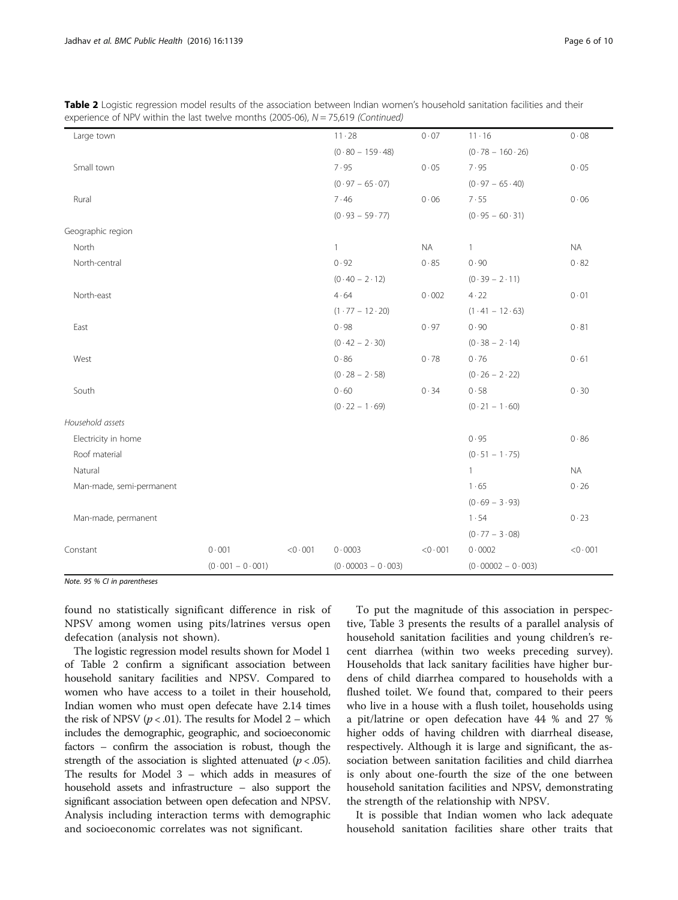| Large town               |                   |                   | $11 \cdot 28$       | 0.07              | $11 \cdot 16$       | 0.08              |
|--------------------------|-------------------|-------------------|---------------------|-------------------|---------------------|-------------------|
|                          |                   |                   | $(0.80 - 159.48)$   |                   | $(0.78 - 160.26)$   |                   |
| Small town               |                   |                   | 7.95                | 0.05              | 7.95                | 0.05              |
|                          |                   |                   | $(0.97 - 65.07)$    |                   | $(0.97 - 65.40)$    |                   |
| Rural                    |                   |                   | 7.46                | 0.06              | 7.55                | 0.06              |
|                          |                   |                   | $(0.93 - 59.77)$    |                   | $(0.95 - 60.31)$    |                   |
| Geographic region        |                   |                   |                     |                   |                     |                   |
| North                    |                   |                   | $\mathbf{1}$        | <b>NA</b>         | $\mathbf{1}$        | <b>NA</b>         |
| North-central            |                   |                   | 0.92                | 0.85              | 0.90                | 0.82              |
|                          |                   |                   | $(0.40 - 2.12)$     |                   | $(0.39 - 2.11)$     |                   |
| North-east               |                   |                   | 4.64                | 0.002             | 4.22                | 0.01              |
|                          |                   |                   | $(1.77 - 12.20)$    |                   | $(1.41 - 12.63)$    |                   |
| East                     |                   |                   | 0.98                | 0.97              | 0.90                | 0.81              |
|                          |                   |                   | $(0.42 - 2.30)$     |                   | $(0.38 - 2.14)$     |                   |
| West                     |                   |                   | 0.86                | 0.78              | 0.76                | 0.61              |
|                          |                   |                   | $(0.28 - 2.58)$     |                   | $(0.26 - 2.22)$     |                   |
| South                    |                   |                   | 0.60                | 0.34              | 0.58                | 0.30              |
|                          |                   |                   | $(0.22 - 1.69)$     |                   | $(0.21 - 1.60)$     |                   |
| Household assets         |                   |                   |                     |                   |                     |                   |
| Electricity in home      |                   |                   |                     |                   | 0.95                | 0.86              |
| Roof material            |                   |                   |                     |                   | $(0.51 - 1.75)$     |                   |
| Natural                  |                   |                   |                     |                   | $\mathbf{1}$        | NA                |
| Man-made, semi-permanent |                   |                   |                     |                   | 1.65                | $0\cdot 26$       |
|                          |                   |                   |                     |                   | $(0.69 - 3.93)$     |                   |
| Man-made, permanent      |                   |                   |                     |                   | 1.54                | 0.23              |
|                          |                   |                   |                     |                   | $(0.77 - 3.08)$     |                   |
| Constant                 | 0.001             | $<$ 0 $\cdot$ 001 | 0.0003              | $<$ 0 $\cdot$ 001 | 0.0002              | $<$ 0 $\cdot$ 001 |
|                          | $(0.001 - 0.001)$ |                   | $(0.00003 - 0.003)$ |                   | $(0.00002 - 0.003)$ |                   |

Table 2 Logistic regression model results of the association between Indian women's household sanitation facilities and their experience of NPV within the last twelve months (2005-06),  $N = 75.619$  (Continued)

Note. 95 % CI in parentheses

found no statistically significant difference in risk of NPSV among women using pits/latrines versus open defecation (analysis not shown).

The logistic regression model results shown for Model 1 of Table [2](#page-4-0) confirm a significant association between household sanitary facilities and NPSV. Compared to women who have access to a toilet in their household, Indian women who must open defecate have 2.14 times the risk of NPSV ( $p < .01$ ). The results for Model 2 – which includes the demographic, geographic, and socioeconomic factors – confirm the association is robust, though the strength of the association is slighted attenuated ( $p < .05$ ). The results for Model 3 – which adds in measures of household assets and infrastructure – also support the significant association between open defecation and NPSV. Analysis including interaction terms with demographic and socioeconomic correlates was not significant.

To put the magnitude of this association in perspective, Table [3](#page-6-0) presents the results of a parallel analysis of household sanitation facilities and young children's recent diarrhea (within two weeks preceding survey). Households that lack sanitary facilities have higher burdens of child diarrhea compared to households with a flushed toilet. We found that, compared to their peers who live in a house with a flush toilet, households using a pit/latrine or open defecation have 44 % and 27 % higher odds of having children with diarrheal disease, respectively. Although it is large and significant, the association between sanitation facilities and child diarrhea is only about one-fourth the size of the one between household sanitation facilities and NPSV, demonstrating the strength of the relationship with NPSV.

It is possible that Indian women who lack adequate household sanitation facilities share other traits that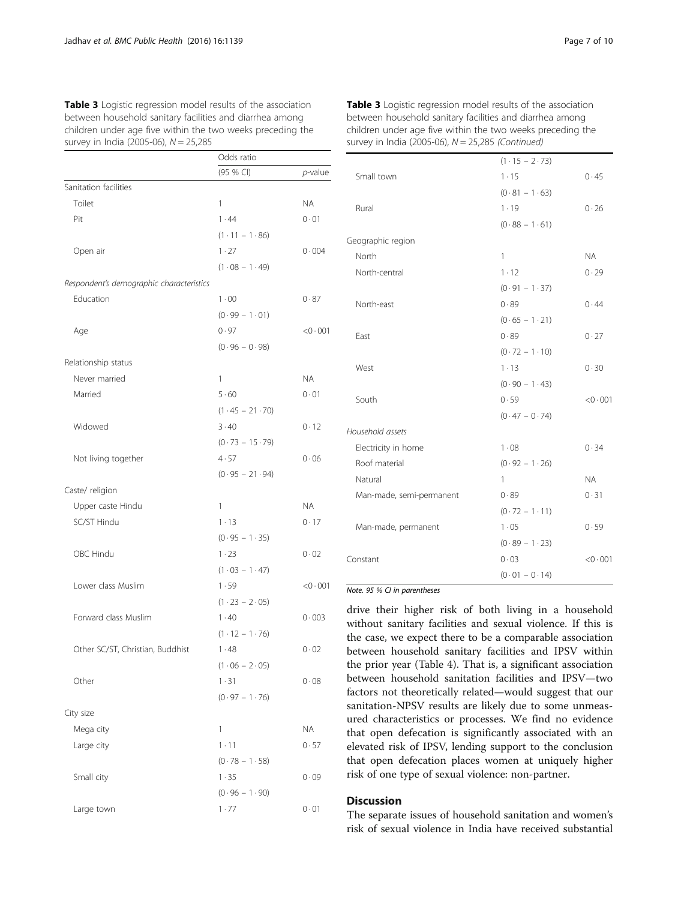|                                          | Odds ratio                  |                 |
|------------------------------------------|-----------------------------|-----------------|
|                                          | (95 % CI)                   | <i>p</i> -value |
| Sanitation facilities                    |                             |                 |
| Toilet                                   | 1                           | ΝA              |
| Pit                                      | 1.44                        | 0.01            |
|                                          | $(1 \cdot 11 - 1 \cdot 86)$ |                 |
| Open air                                 | 1.27                        | 0.004           |
|                                          | $(1.08 - 1.49)$             |                 |
| Respondent's demographic characteristics |                             |                 |
| Education                                | $1 \cdot 00$                | 0.87            |
|                                          | $(0.99 - 1.01)$             |                 |
| Age                                      | 0.97                        | < 0.001         |
|                                          | $(0.96 - 0.98)$             |                 |
| Relationship status                      |                             |                 |
| Never married                            | 1                           | ΝA              |
| Married                                  | 5.60                        | 0.01            |
|                                          | $(1.45 - 21.70)$            |                 |
| Widowed                                  | $3 \cdot 40$                | 0.12            |
|                                          | $(0.73 - 15.79)$            |                 |
| Not living together                      | 4.57                        | 0.06            |
|                                          | $(0.95 - 21.94)$            |                 |
| Caste/ religion                          |                             |                 |
| Upper caste Hindu                        | 1                           | ΝA              |
| SC/ST Hindu                              | $1 - 13$                    | 0.17            |
|                                          | $(0.95 - 1.35)$             |                 |
| OBC Hindu                                | 1.23                        | 0.02            |
|                                          | $(1.03 - 1.47)$             |                 |
| Lower class Muslim                       | 1.59                        | < 0.001         |
|                                          | $(1.23 - 2.05)$             |                 |
| Forward class Muslim                     | 1.40                        | 0.003           |
|                                          | $(1.12 - 1.76)$             |                 |
| Other SC/ST, Christian, Buddhist         | 1.48                        | 0.02            |
|                                          | $(1.06 - 2.05)$             |                 |
| Other                                    | 1.31                        | 0.08            |
|                                          | $(0.97 - 1.76)$             |                 |
| City size                                |                             |                 |
| Mega city                                | 1                           | ΝA              |
| Large city                               | $1 - 11$                    | 0.57            |
|                                          | $(0.78 - 1.58)$             |                 |
| Small city                               | 1.35                        | 0.09            |
|                                          | $(0.96 - 1.90)$             |                 |
| Large town                               | 1.77                        | 0.01            |
|                                          |                             |                 |

<span id="page-6-0"></span>Table 3 Logistic regression model results of the association between household sanitary facilities and diarrhea among children under age five within the two weeks preceding the survey in India (2005-06),  $N = 25,285$ 

| Table 3 Logistic regression model results of the association |  |
|--------------------------------------------------------------|--|
| between household sanitary facilities and diarrhea among     |  |
| children under age five within the two weeks preceding the   |  |
| survey in India (2005-06), N = 25,285 (Continued)            |  |

|                          | $(1.15 - 2.73)$ |           |
|--------------------------|-----------------|-----------|
| Small town               | 1.15            | 0.45      |
|                          | $(0.81 - 1.63)$ |           |
| Rural                    | 1.19            | 0.26      |
|                          | $(0.88 - 1.61)$ |           |
| Geographic region        |                 |           |
| North                    | 1               | <b>NA</b> |
| North-central            | 1.12            | 0.29      |
|                          | $(0.91 - 1.37)$ |           |
| North-east               | 0.89            | 0.44      |
|                          | $(0.65 - 1.21)$ |           |
| East                     | 0.89            | 0.27      |
|                          | $(0.72 - 1.10)$ |           |
| West                     | 1.13            | 0.30      |
|                          | $(0.90 - 1.43)$ |           |
| South                    | 0.59            | < 0.001   |
|                          | $(0.47 - 0.74)$ |           |
| Household assets         |                 |           |
| Electricity in home      | 1.08            | 0.34      |
| Roof material            | $(0.92 - 1.26)$ |           |
| Natural                  | 1               | <b>NA</b> |
| Man-made, semi-permanent | 0.89            | 0.31      |
|                          | $(0.72 - 1.11)$ |           |
| Man-made, permanent      | 1.05            | 0.59      |
|                          | $(0.89 - 1.23)$ |           |
| Constant                 | 0.03            | < 0.001   |
|                          | $(0.01 - 0.14)$ |           |

## Note. 95 % CI in parentheses

drive their higher risk of both living in a household without sanitary facilities and sexual violence. If this is the case, we expect there to be a comparable association between household sanitary facilities and IPSV within the prior year (Table [4\)](#page-7-0). That is, a significant association between household sanitation facilities and IPSV—two factors not theoretically related—would suggest that our sanitation-NPSV results are likely due to some unmeasured characteristics or processes. We find no evidence that open defecation is significantly associated with an elevated risk of IPSV, lending support to the conclusion that open defecation places women at uniquely higher risk of one type of sexual violence: non-partner.

# **Discussion**

The separate issues of household sanitation and women's risk of sexual violence in India have received substantial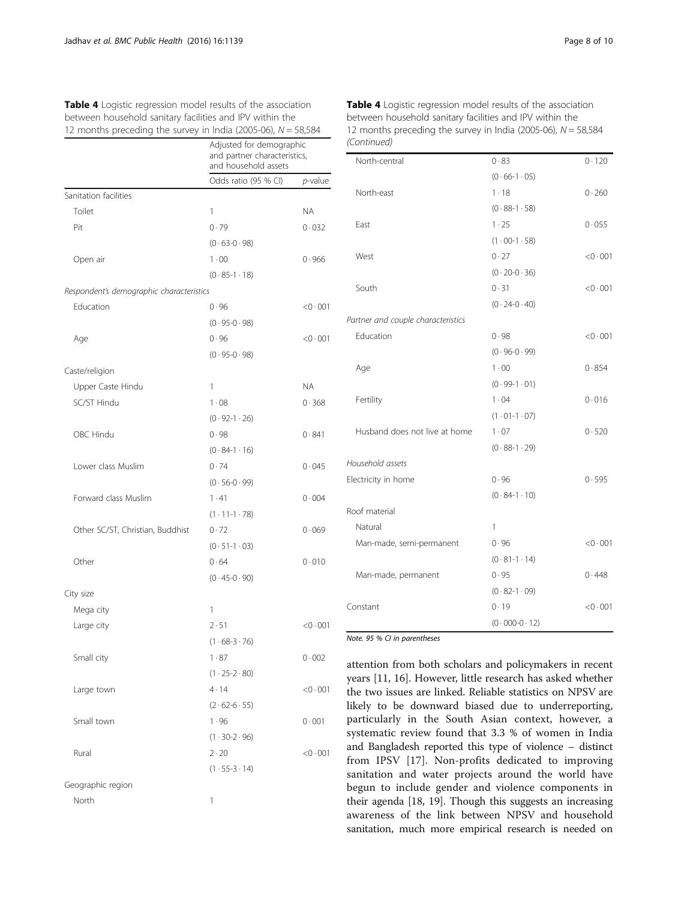<span id="page-7-0"></span>

| <b>Table 4</b> Logistic regression model results of the association |
|---------------------------------------------------------------------|
| between household sanitary facilities and IPV within the            |
| 12 months preceding the survey in India (2005-06), $N = 58,584$     |

|                                          | Adjusted for demographic<br>and partner characteristics,<br>and household assets |            |  |
|------------------------------------------|----------------------------------------------------------------------------------|------------|--|
|                                          | Odds ratio (95 % CI)                                                             | $p$ -value |  |
| Sanitation facilities                    |                                                                                  |            |  |
| Toilet                                   | 1                                                                                | <b>NA</b>  |  |
| Pit                                      | 0.79                                                                             | 0.032      |  |
|                                          | $(0.63 - 0.98)$                                                                  |            |  |
| Open air                                 | 1.00                                                                             | 0.966      |  |
|                                          | $(0.85 - 1.18)$                                                                  |            |  |
| Respondent's demographic characteristics |                                                                                  |            |  |
| Education                                | 0.96                                                                             | < 0.001    |  |
|                                          | $(0.95-0.98)$                                                                    |            |  |
| Age                                      | 0.96                                                                             | < 0.001    |  |
|                                          | $(0.95-0.98)$                                                                    |            |  |
| Caste/religion                           |                                                                                  |            |  |
| Upper Caste Hindu                        | 1                                                                                | NA.        |  |
| SC/ST Hindu                              | 1.08                                                                             | 0.368      |  |
|                                          | $(0.92 - 1.26)$                                                                  |            |  |
| OBC Hindu                                | 0.98                                                                             | 0.841      |  |
|                                          | $(0.84 - 1.16)$                                                                  |            |  |
| Lower class Muslim                       | 0.74                                                                             | 0.045      |  |
|                                          | $(0.56 - 0.99)$                                                                  |            |  |
| Forward class Muslim                     | 1.41                                                                             | 0.004      |  |
|                                          | $(1.11-1.78)$                                                                    |            |  |
| Other SC/ST, Christian, Buddhist         | 0.72                                                                             | 0.069      |  |
|                                          | $(0.51 - 1.03)$                                                                  |            |  |
| Other                                    | 0.64                                                                             | 0.010      |  |
|                                          | $(0.45 - 0.90)$                                                                  |            |  |
| City size                                |                                                                                  |            |  |
| Mega city                                | 1                                                                                |            |  |
| Large city                               | 2.51                                                                             | < 0.001    |  |
|                                          | $(1.68 - 3.76)$                                                                  |            |  |
| Small city                               | 1.87                                                                             | 0.002      |  |
|                                          | $(1.25 - 2.80)$                                                                  |            |  |
| Large town                               | $4 \cdot 14$                                                                     | < 0.001    |  |
|                                          | $(2.62 - 6.55)$                                                                  |            |  |
| Small town                               | 1.96                                                                             | 0.001      |  |
|                                          | $(1.30-2.96)$                                                                    |            |  |
| Rural                                    | $2 \cdot 20$                                                                     | < 0.001    |  |
|                                          | $(1.55-3.14)$                                                                    |            |  |
| Geographic region                        |                                                                                  |            |  |
| North                                    | 1                                                                                |            |  |
|                                          |                                                                                  |            |  |

Table 4 Logistic regression model results of the association between household sanitary facilities and IPV within the 12 months preceding the survey in India (2005-06),  $N = 58,584$ (Continued)

| North-central                      | 0.83             | 0.120             |
|------------------------------------|------------------|-------------------|
|                                    | $(0.66 - 1.05)$  |                   |
| North-east                         | $1 - 18$         | 0.260             |
|                                    | $(0.88 - 1.58)$  |                   |
| East                               | 1.25             | 0.055             |
|                                    | $(1.00-1.58)$    |                   |
| West                               | 0.27             | < 0.001           |
|                                    | $(0.20 - 0.36)$  |                   |
| South                              | 0.31             | < 0.001           |
|                                    | $(0.24 - 0.40)$  |                   |
| Partner and couple characteristics |                  |                   |
| Education                          | 0.98             | < 0.001           |
|                                    | $(0.96 - 0.99)$  |                   |
| Age                                | $1 \cdot 00$     | 0.854             |
|                                    | $(0.99 - 1.01)$  |                   |
| Fertility                          | 1.04             | 0.016             |
|                                    | $(1.01 - 1.07)$  |                   |
| Husband does not live at home      | 1.07             | 0.520             |
|                                    | $(0.88 - 1.29)$  |                   |
| Household assets                   |                  |                   |
| Electricity in home                | 0.96             | 0.595             |
|                                    | $(0.84 - 1.10)$  |                   |
| Roof material                      |                  |                   |
| Natural                            | 1                |                   |
| Man-made, semi-permanent           | 0.96             | $<$ 0 $\cdot$ 001 |
|                                    | $(0.81 - 1.14)$  |                   |
| Man-made, permanent                | 0.95             | 0.448             |
|                                    | $(0.82 - 1.09)$  |                   |
| Constant                           | 0.19             | < 0.001           |
|                                    | $(0.000 - 0.12)$ |                   |

Note. 95 % CI in parentheses

attention from both scholars and policymakers in recent years [\[11](#page-8-0), [16](#page-9-0)]. However, little research has asked whether the two issues are linked. Reliable statistics on NPSV are likely to be downward biased due to underreporting, particularly in the South Asian context, however, a systematic review found that 3.3 % of women in India and Bangladesh reported this type of violence – distinct from IPSV [\[17](#page-9-0)]. Non-profits dedicated to improving sanitation and water projects around the world have begun to include gender and violence components in their agenda [[18](#page-9-0), [19](#page-9-0)]. Though this suggests an increasing awareness of the link between NPSV and household sanitation, much more empirical research is needed on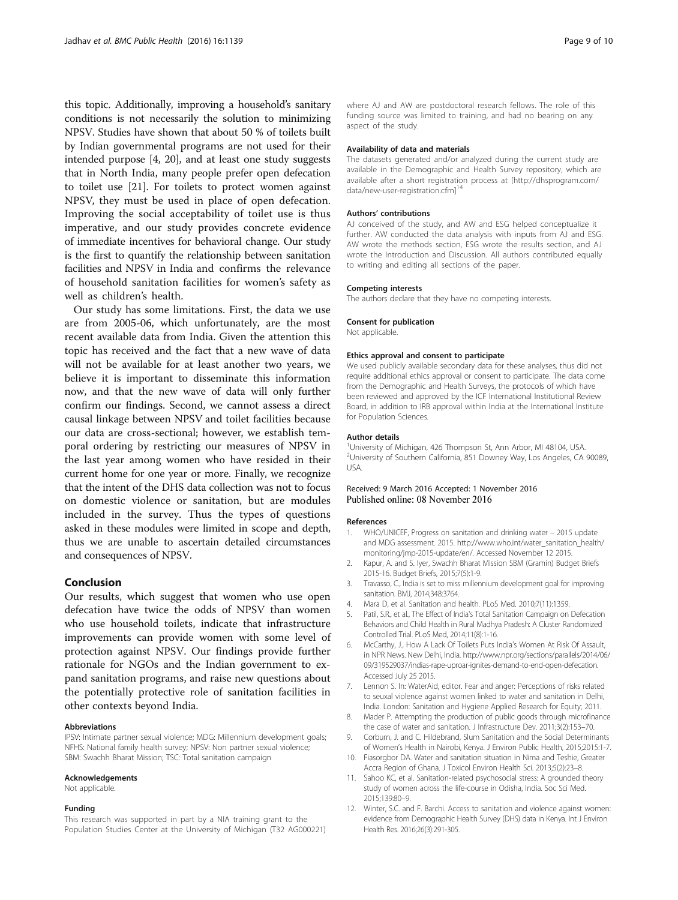<span id="page-8-0"></span>this topic. Additionally, improving a household's sanitary conditions is not necessarily the solution to minimizing NPSV. Studies have shown that about 50 % of toilets built by Indian governmental programs are not used for their intended purpose [4, [20](#page-9-0)], and at least one study suggests that in North India, many people prefer open defecation to toilet use [[21](#page-9-0)]. For toilets to protect women against NPSV, they must be used in place of open defecation. Improving the social acceptability of toilet use is thus imperative, and our study provides concrete evidence of immediate incentives for behavioral change. Our study is the first to quantify the relationship between sanitation facilities and NPSV in India and confirms the relevance of household sanitation facilities for women's safety as well as children's health.

Our study has some limitations. First, the data we use are from 2005-06, which unfortunately, are the most recent available data from India. Given the attention this topic has received and the fact that a new wave of data will not be available for at least another two years, we believe it is important to disseminate this information now, and that the new wave of data will only further confirm our findings. Second, we cannot assess a direct causal linkage between NPSV and toilet facilities because our data are cross-sectional; however, we establish temporal ordering by restricting our measures of NPSV in the last year among women who have resided in their current home for one year or more. Finally, we recognize that the intent of the DHS data collection was not to focus on domestic violence or sanitation, but are modules included in the survey. Thus the types of questions asked in these modules were limited in scope and depth, thus we are unable to ascertain detailed circumstances and consequences of NPSV.

# Conclusion

Our results, which suggest that women who use open defecation have twice the odds of NPSV than women who use household toilets, indicate that infrastructure improvements can provide women with some level of protection against NPSV. Our findings provide further rationale for NGOs and the Indian government to expand sanitation programs, and raise new questions about the potentially protective role of sanitation facilities in other contexts beyond India.

#### Abbreviations

IPSV: Intimate partner sexual violence; MDG: Millennium development goals; NFHS: National family health survey; NPSV: Non partner sexual violence; SBM: Swachh Bharat Mission; TSC: Total sanitation campaign

#### Acknowledgements

Not applicable.

#### Funding

This research was supported in part by a NIA training grant to the Population Studies Center at the University of Michigan (T32 AG000221)

where AJ and AW are postdoctoral research fellows. The role of this funding source was limited to training, and had no bearing on any aspect of the study.

#### Availability of data and materials

The datasets generated and/or analyzed during the current study are available in the Demographic and Health Survey repository, which are available after a short registration process at [\[http://dhsprogram.com/](http://dhsprogram.com/data/new-user-registration.cfm%5D14) [data/new-user-registration.cfm\]](http://dhsprogram.com/data/new-user-registration.cfm%5D14)<sup>14</sup>

#### Authors' contributions

AJ conceived of the study, and AW and ESG helped conceptualize it further. AW conducted the data analysis with inputs from AJ and ESG. AW wrote the methods section, ESG wrote the results section, and AJ wrote the Introduction and Discussion. All authors contributed equally to writing and editing all sections of the paper.

#### Competing interests

The authors declare that they have no competing interests.

#### Consent for publication

Not applicable.

#### Ethics approval and consent to participate

We used publicly available secondary data for these analyses, thus did not require additional ethics approval or consent to participate. The data come from the Demographic and Health Surveys, the protocols of which have been reviewed and approved by the ICF International Institutional Review Board, in addition to IRB approval within India at the International Institute for Population Sciences.

#### Author details

<sup>1</sup>University of Michigan, 426 Thompson St, Ann Arbor, MI 48104, USA <sup>2</sup>University of Southern California, 851 Downey Way, Los Angeles, CA 90089 USA.

### Received: 9 March 2016 Accepted: 1 November 2016 Published online: 08 November 2016

#### References

- 1. WHO/UNICEF, Progress on sanitation and drinking water 2015 update and MDG assessment. 2015. [http://www.who.int/water\\_sanitation\\_health/](http://www.who.int/water_sanitation_health/monitoring/jmp-2015-update/en/) [monitoring/jmp-2015-update/en/](http://www.who.int/water_sanitation_health/monitoring/jmp-2015-update/en/). Accessed November 12 2015.
- 2. Kapur, A. and S. Iyer, Swachh Bharat Mission SBM (Gramin) Budget Briefs 2015-16. Budget Briefs, 2015;7(5):1-9.
- 3. Travasso, C., India is set to miss millennium development goal for improving sanitation. BMJ, 2014;348:3764.
- 4. Mara D, et al. Sanitation and health. PLoS Med. 2010;7(11):1359.
- 5. Patil, S.R., et al., The Effect of India's Total Sanitation Campaign on Defecation Behaviors and Child Health in Rural Madhya Pradesh: A Cluster Randomized Controlled Trial. PLoS Med, 2014;11(8):1-16.
- 6. McCarthy, J., How A Lack Of Toilets Puts India's Women At Risk Of Assault, in NPR News. New Delhi, India. [http://www.npr.org/sections/parallels/2014/06/](http://www.npr.org/sections/parallels/2014/06/09/319529037/indias-rape-uproar-ignites-demand-to-end-open-defecation) [09/319529037/indias-rape-uproar-ignites-demand-to-end-open-defecation.](http://www.npr.org/sections/parallels/2014/06/09/319529037/indias-rape-uproar-ignites-demand-to-end-open-defecation) Accessed July 25 2015.
- 7. Lennon S. In: WaterAid, editor. Fear and anger: Perceptions of risks related to seuxal violence against women linked to water and sanitation in Delhi, India. London: Sanitation and Hygiene Applied Research for Equity; 2011.
- 8. Mader P. Attempting the production of public goods through microfinance the case of water and sanitation. J Infrastructure Dev. 2011;3(2):153–70.
- Corburn, J. and C. Hildebrand, Slum Sanitation and the Social Determinants of Women's Health in Nairobi, Kenya. J Environ Public Health, 2015;2015:1-7.
- 10. Fiasorgbor DA. Water and sanitation situation in Nima and Teshie, Greater Accra Region of Ghana. J Toxicol Environ Health Sci. 2013;5(2):23–8.
- 11. Sahoo KC, et al. Sanitation-related psychosocial stress: A grounded theory study of women across the life-course in Odisha, India. Soc Sci Med. 2015;139:80–9.
- 12. Winter, S.C. and F. Barchi. Access to sanitation and violence against women: evidence from Demographic Health Survey (DHS) data in Kenya. Int J Environ Health Res. 2016;26(3):291-305.